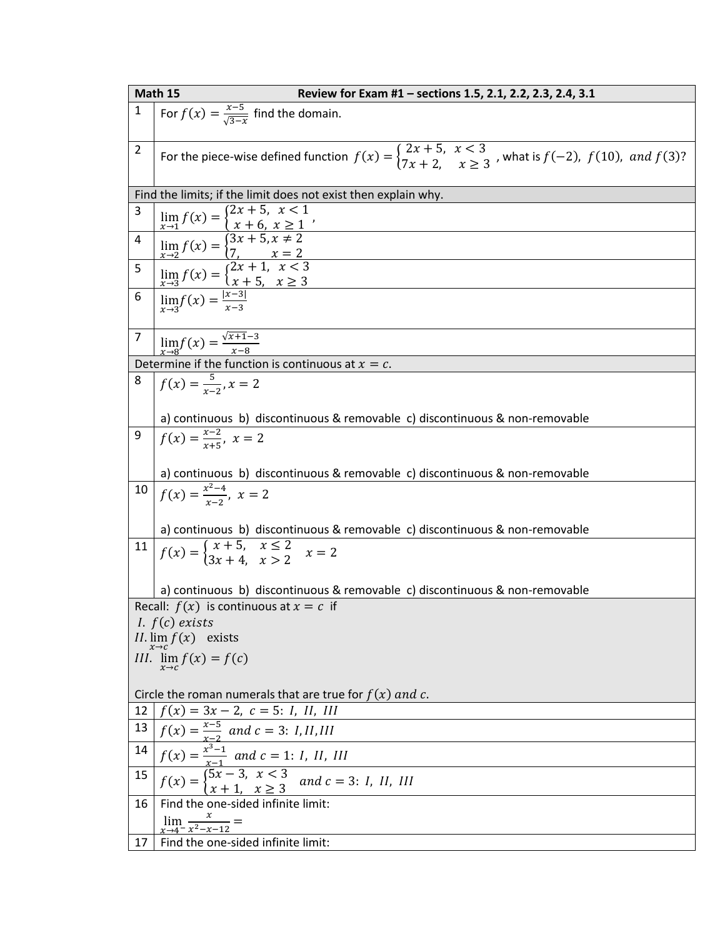|                                                                | Math 15<br>Review for Exam #1 - sections 1.5, 2.1, 2.2, 2.3, 2.4, 3.1                                                                                                                                                                                                                                        |  |
|----------------------------------------------------------------|--------------------------------------------------------------------------------------------------------------------------------------------------------------------------------------------------------------------------------------------------------------------------------------------------------------|--|
| $\mathbf 1$                                                    | For $f(x) = \frac{x-5}{\sqrt{3-x}}$ find the domain.                                                                                                                                                                                                                                                         |  |
| $\overline{2}$                                                 | For the piece-wise defined function $f(x) = \begin{cases} 2x + 5, & x < 3 \\ 7x + 2, & x \ge 3 \end{cases}$ , what is $f(-2)$ , $f(10)$ , and $f(3)$ ?                                                                                                                                                       |  |
| Find the limits; if the limit does not exist then explain why. |                                                                                                                                                                                                                                                                                                              |  |
| 3                                                              |                                                                                                                                                                                                                                                                                                              |  |
| $\overline{\mathbf{4}}$                                        | $\lim_{x\to 1} f(x) = \begin{cases} 2x + 5, & x < 1 \\ x + 6, & x \ge 1 \end{cases}$<br>$\lim_{x\to 2} f(x) = \begin{cases} 3x + 5, & x \ne 2 \\ 7, & x = 2 \end{cases}$<br>$\lim_{x\to 3} f(x) = \begin{cases} 2x + 1, & x < 3 \\ x + 5, & x \ge 3 \end{cases}$<br>$\lim_{x\to 3} f(x) = \frac{ x-3 }{x-3}$ |  |
| 5                                                              |                                                                                                                                                                                                                                                                                                              |  |
| 6                                                              |                                                                                                                                                                                                                                                                                                              |  |
| $\overline{7}$                                                 | $\lim_{x\to 8} f(x) = \frac{\sqrt{x+1}-3}{x-8}$                                                                                                                                                                                                                                                              |  |
|                                                                | Determine if the function is continuous at $x = c$ .                                                                                                                                                                                                                                                         |  |
| 8                                                              | $f(x) = \frac{5}{x-2}$ , $x = 2$                                                                                                                                                                                                                                                                             |  |
|                                                                | a) continuous b) discontinuous & removable c) discontinuous & non-removable                                                                                                                                                                                                                                  |  |
| 9                                                              | $f(x) = \frac{x-2}{x+5}, x = 2$                                                                                                                                                                                                                                                                              |  |
|                                                                | a) continuous b) discontinuous & removable c) discontinuous & non-removable                                                                                                                                                                                                                                  |  |
| $10\,$                                                         | $f(x) = \frac{x^2-4}{x-2}, x = 2$                                                                                                                                                                                                                                                                            |  |
|                                                                | a) continuous b) discontinuous & removable c) discontinuous & non-removable                                                                                                                                                                                                                                  |  |
| 11                                                             | $f(x) = \begin{cases} x+5, & x \leq 2 \\ 3x+4 & x > 2 \end{cases}$ $x = 2$                                                                                                                                                                                                                                   |  |
|                                                                | a) continuous b) discontinuous & removable c) discontinuous & non-removable                                                                                                                                                                                                                                  |  |
| Recall: $f(x)$ is continuous at $x = c$ if                     |                                                                                                                                                                                                                                                                                                              |  |
| <i>I.</i> $f(c)$ exists                                        |                                                                                                                                                                                                                                                                                                              |  |
| $II. \lim_{x \to c} f(x)$ exists                               |                                                                                                                                                                                                                                                                                                              |  |
|                                                                | III. $\lim_{x\to c} f(x) = f(c)$                                                                                                                                                                                                                                                                             |  |
| Circle the roman numerals that are true for $f(x)$ and c.      |                                                                                                                                                                                                                                                                                                              |  |
| 12                                                             | $f(x) = 3x - 2, c = 5: I, II, III$                                                                                                                                                                                                                                                                           |  |
| 13                                                             | $f(x) = \frac{x-5}{x-2}$ and $c = 3$ : <i>I, II, III</i>                                                                                                                                                                                                                                                     |  |
| 14                                                             | $f(x) = \frac{x^3-1}{x-1}$ and $c = 1$ : <i>I</i> , <i>II</i> , <i>III</i>                                                                                                                                                                                                                                   |  |
| 15                                                             | $f(x) = \begin{cases} \frac{x-1}{5x-3}, & x < 3 \\ x+1, & x \ge 3 \end{cases}$ and $c = 3$ : <i>I</i> , <i>II</i> , <i>III</i>                                                                                                                                                                               |  |
| 16                                                             | Find the one-sided infinite limit:                                                                                                                                                                                                                                                                           |  |
|                                                                | $\lim_{x\to 4^{-}}\frac{x}{x^{2}-x-12}=$                                                                                                                                                                                                                                                                     |  |
| 17                                                             | Find the one-sided infinite limit:                                                                                                                                                                                                                                                                           |  |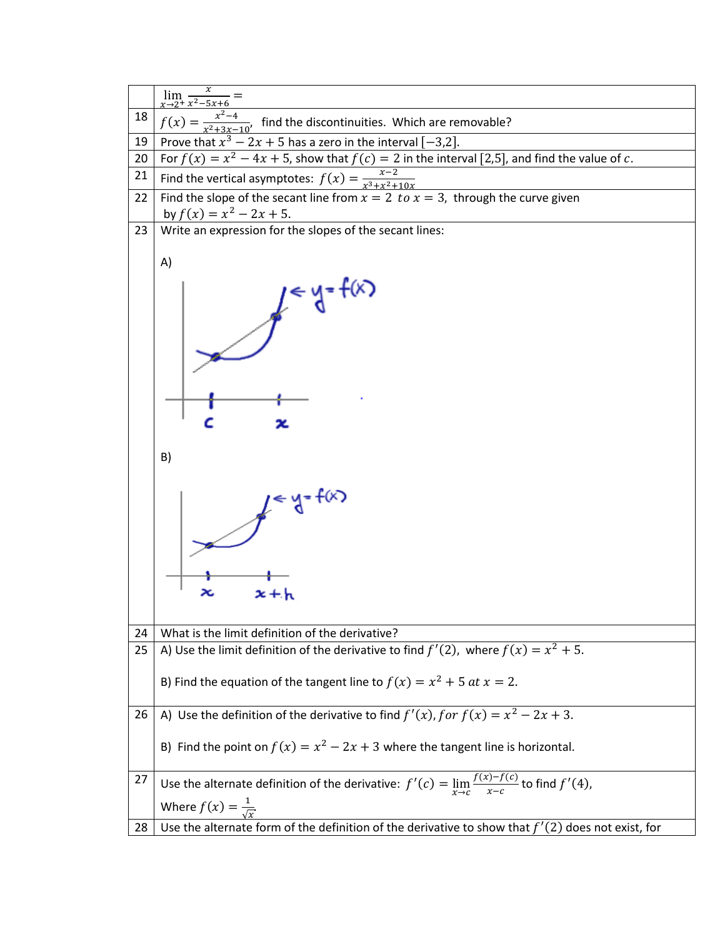|    | $\lim_{x\to 2^+} \frac{x}{x^2-5x+6}$                                                                                 |
|----|----------------------------------------------------------------------------------------------------------------------|
| 18 |                                                                                                                      |
|    | $f(x) = \frac{x^2-4}{x^2+3x-10}$ , find the discontinuities. Which are removable?                                    |
| 19 | Prove that $x^3 - 2x + 5$ has a zero in the interval $[-3,2]$ .                                                      |
| 20 | For $f(x) = x^2 - 4x + 5$ , show that $f(c) = 2$ in the interval [2,5], and find the value of c.                     |
| 21 | Find the vertical asymptotes: $f(x) = \frac{x-2}{x^3 + x^2 + 10x}$                                                   |
| 22 | Find the slope of the secant line from $x = 2$ to $x = 3$ , through the curve given                                  |
|    | by $f(x) = x^2 - 2x + 5$ .                                                                                           |
| 23 | Write an expression for the slopes of the secant lines:                                                              |
|    | A)                                                                                                                   |
|    | $y = f(x)$                                                                                                           |
|    | B)                                                                                                                   |
|    |                                                                                                                      |
| 24 | What is the limit definition of the derivative?                                                                      |
| 25 | A) Use the limit definition of the derivative to find $f'(2)$ , where $f(x) = x^2 + 5$ .                             |
|    | B) Find the equation of the tangent line to $f(x) = x^2 + 5$ at $x = 2$ .                                            |
| 26 | A) Use the definition of the derivative to find $f'(x)$ , for $f(x) = x^2 - 2x + 3$ .                                |
|    | B) Find the point on $f(x) = x^2 - 2x + 3$ where the tangent line is horizontal.                                     |
| 27 | Use the alternate definition of the derivative: $f'(c) = \lim_{x \to c} \frac{f(x) - f(c)}{x - c}$ to find $f'(4)$ , |
|    | Where $f(x) = \frac{1}{\sqrt{x}}$ .                                                                                  |
|    |                                                                                                                      |
| 28 | Use the alternate form of the definition of the derivative to show that $f'(2)$ does not exist, for                  |